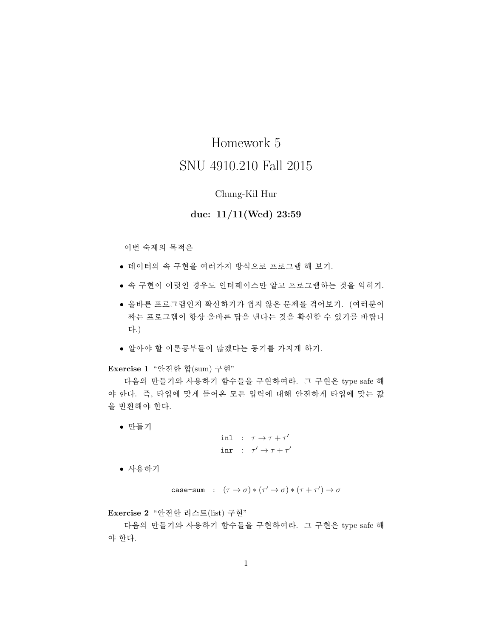# Homework 5 SNU 4910.210 Fall 2015

#### Chung-Kil Hur

## due:  $11/11$  (Wed) 23:59

이번 숙제의 목적은

- 데이터의 속 구현을 여러가지 방식으로 프로그램 해 보기.
- 속 구현이 여럿인 경우도 인터페이스만 알고 프로그램하는 것을 익히기.
- 올바른 프로그램인지 확신하기가 쉽지 않은 문제를 겪어보기. (여러분이 짜는 프로그램이 항상 올바른 답을 낸다는 것을 확신할 수 있기를 바랍니 다.)
- 알아야 할 이론공부들이 많겠다는 동기를 가지게 하기.

## Exercise 1 "안전한 합(sum) 구현"

다음의 만들기와 사용하기 함수들을 구현하여라. 그 구현은 type safe 해 야 한다. 즉, 타입에 맞게 들어온 모든 입력에 대해 안전하게 타입에 맞는 값 을 반환해야 한다.

• 만들기

```
inl : \tau \rightarrow \tau + \tau'inr : \tau' \rightarrow \tau + \tau'
```
• 사용하기

case-sum : 
$$
(\tau \to \sigma) * (\tau' \to \sigma) * (\tau + \tau') \to \sigma
$$

Exercise 2 "안전한 리스트(list) 구현"

다음의 만들기와 사용하기 함수들을 구현하여라. 그 구현은 type safe 해 야 한다.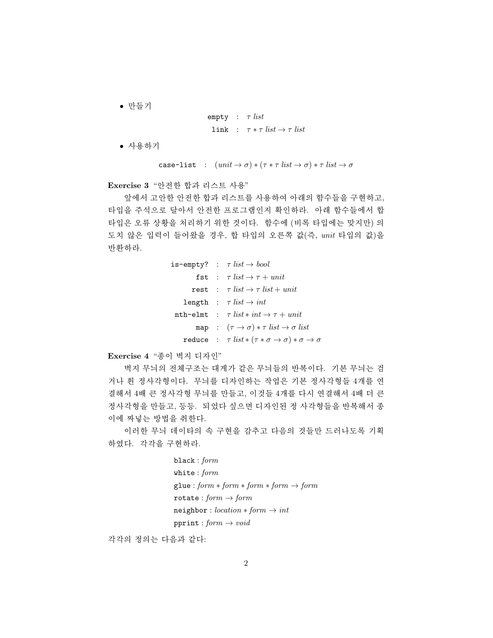• 만들기

$$
\begin{array}{lcl} \texttt{empty} & : & \tau \; \mathit{list} \\ \texttt{link} & : & \tau * \tau \; \mathit{list} \rightarrow \tau \; \mathit{list} \end{array}
$$

• 사용하기

case-list :  $(unit \rightarrow \sigma) * (\tau * \tau list \rightarrow \sigma) * \tau list \rightarrow \sigma$ 

Exercise 3 "안전한 합과 리스트 사용"

앞에서 고안한 안전한 합과 리스트를 사용하여 아래의 함수들을 구현하고, 타입을 주석으로 달아서 안전한 프로그램인지 확인하라. 아래 함수들에서 합 타입은 오류 상황을 처리하기 위한 것이다. 함수에 (비록 타입에는 맞지만) 의 도치 않은 입력이 들어왔을 경우, 합 타입의 오른쪽 값(즉, unit 타입의 값)을 반환하라.

```
is-empty? : \tau list \rightarrow bool
          fst : \tau list \rightarrow \tau + unitrest : \tau list \rightarrow \tau list + unit
     length : \tau list \rightarrow intnth-elmt : \tau list * int \rightarrow \tau + unit
           map : (\tau \to \sigma) * \tau list \to \sigma list
     reduce : \tau list *(\tau * \sigma \to \sigma) * \sigma \to \sigma
```
Exercise 4 "종이 벽지 디자인"

벽지 무늬의 전체구조는 대게가 같은 무늬들의 반복이다. 기본 무늬는 검 거나 흰 정사각형이다. 무늬를 디자인하는 작업은 기본 정사각형들 4개를 연 결해서 4배 큰 정사각형 무늬를 만들고, 이것들 4개를 다시 연결해서 4배 더 큰 정사각형을 만들고, 등등. 되었다 싶으면 디자인된 정 사각형들을 반복해서 종 이에 짜넣는 방법을 취하다.

이러한 무늬 데이타의 속 구현을 감추고 다음의 것들만 드러나도록 기획 하였다. 각각을 구현하라.

> $black: form$ white:  $form$  $glue: form * form * form * form \rightarrow form$ rotate:  $form \rightarrow form$  $neighbor: location * form \rightarrow int$ pprint:  $form \rightarrow void$

각각의 정의는 다음과 같다: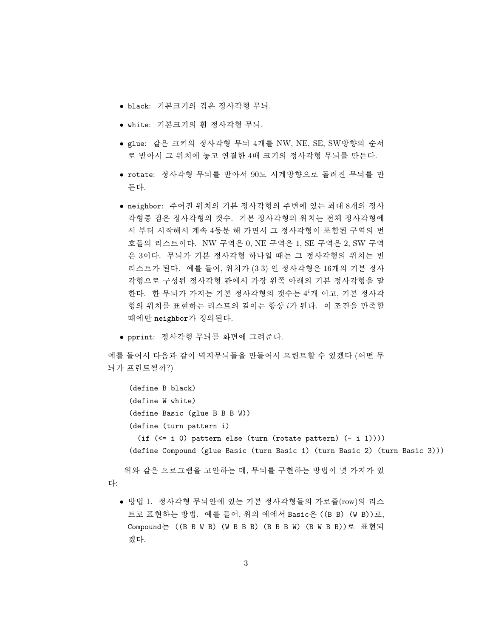- black: 기본크기의 검은 정사각형 무늬.
- white: 기본크기의 흰 정사각형 무늬.
- glue: 같은 크키의 정사각형 무늬 4개를 NW, NE, SE, SW방향의 순서 로 받아서 그 위치에 놓고 연결한 4배 크기의 정사각형 무늬를 만든다.
- rotate: 정사각형 무늬를 받아서 90도 시계방향으로 돌려진 무늬를 만 든다.
- neighbor: 주어진 위치의 기본 정사각형의 주변에 있는 최대 8개의 정사 각형중 검은 정사각형의 갯수. 기본 정사각형의 위치는 전체 정사각형에 서 부터 시작해서 계속 4등분 해 가면서 그 정사각형이 포함된 구역의 번 호들의 리스트이다. NW 구역은 0, NE 구역은 1, SE 구역은 2, SW 구역 은 3이다. 무늬가 기본 정사각형 하나일 때는 그 정사각형의 위치는 빈 리스트가 된다. 예를 들어, 위치가 (33) 인 정사각형은 16개의 기본 정사 각형으로 구성된 정사각형 판에서 가장 왼쪽 아래의 기본 정사각형을 말 한다. 한 무늬가 가지는 기본 정사각형의 갯수는 4'개 이고, 기본 정사각 형의 위치를 표현하는 리스트의 길이는 항상 i가 된다. 이 조건을 만족할 때에만 neighbor가 정의된다.
- pprint: 정사각형 무늬를 화면에 그려준다.

예를 들어서 다음과 같이 벽지무늬들을 만들어서 프린트할 수 있겠다 (어떤 무 늬가 프린트될까?)

```
(define B black)
 (define W white)
 (define Basic (glue B B B W))
 (define (turn pattern i)
   (if (<= i 0) pattern else (turn (rotate pattern) (- i 1))))(define Compound (glue Basic (turn Basic 1) (turn Basic 2) (turn Basic 3)))
위와 같은 프로그램을 고안하는 데, 무늬를 구현하는 방법이 몇 가지가 있
```
다:

● 방법 1. 정사각형 무늬안에 있는 기본 정사각형들의 가로줄(row)의 리스 트로 표현하는 방법. 예를 들어, 위의 예에서 Basic은 ((B B) (W B))로, Compound는 ((B B W B) (W B B B) (B B B W) (B W B B))로 표현되 겠다.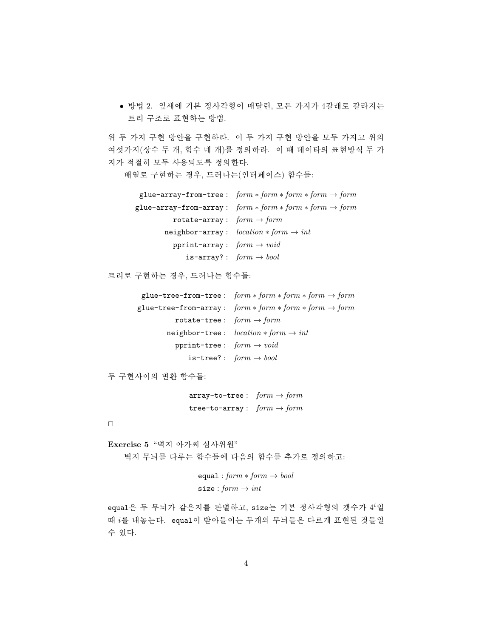• 방법 2. 잎새에 기본 정사각형이 매달린, 모든 가지가 4갈래로 갈라지는 트리 구조로 표현하는 방법.

위 두 가지 구현 방안을 구현하라. 이 두 가지 구현 방안을 모두 가지고 위의 여섯가지(상수 두 개, 함수 네 개)를 정의하라. 이 때 데이타의 표현방식 두 가 지가 적절히 모두 사용되도록 정의한다.

배열로 구현하는 경우, 드러나는(인터페이스) 함수들:

|                                       | glue-array-from-tree: $form * form * form * form \rightarrow form$  |
|---------------------------------------|---------------------------------------------------------------------|
|                                       | glue-array-from-array: $form * form * form * form \rightarrow form$ |
| rotate-array: $form \rightarrow form$ |                                                                     |
|                                       | neighbor-array: $location * form \rightarrow int$                   |
| pprint-array: $form \rightarrow void$ |                                                                     |
|                                       | is-array?: $form \rightarrow bool$                                  |

트리로 구현하는 경우, 드러나는 함수들:

| glue-tree-from-tree: $form * form * form * form \rightarrow form$  |
|--------------------------------------------------------------------|
| glue-tree-from-array: $form * form * form * form \rightarrow form$ |
| rotate-tree: $form \rightarrow form$                               |
| neighbor-tree: $location * form \rightarrow int$                   |
| pprint-tree: $form \rightarrow void$                               |
| is-tree?: $form \rightarrow bool$                                  |
|                                                                    |

두 구현사이의 변환 함수들:

 $array-to-tree: form \rightarrow form$ tree-to-array:  $form \rightarrow form$ 

 $\Box$ 

Exercise 5 "벽지 아가씨 심사위원" 벽지 무늬를 다루는 함수들에 다음의 함수를 추가로 정의하고:

```
equal: form * form \rightarrow boolsize: form \rightarrow int
```
equal은 두 무늬가 같은지를 판별하고, size는 기본 정사각형의 갯수가 4'일 때 i를 내놓는다. equal이 받아들이는 두개의 무늬들은 다르게 표현된 것들일 수 있다.